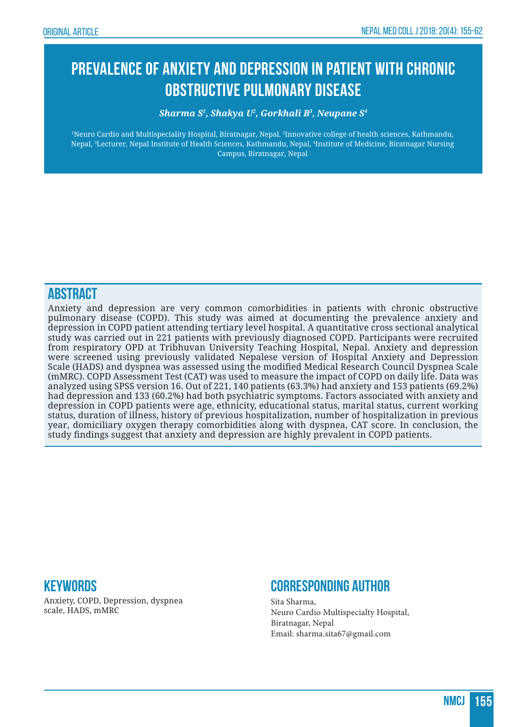# **Prevalence of Anxiety and Depression in Patient with Chronic Obstructive Pulmonary Disease**

#### *Sharma S1 , Shakya U2 , Gorkhali B3 , Neupane S4*

1 Neuro Cardio and Multispeciality Hospital, Biratnagar, Nepal, 2 Innovative college of health sciences, Kathmandu, Nepal, <sup>3</sup> Lecturer, Nepal Institute of Health Sciences, Kathmandu, Nepal, <sup>4</sup> Institute of Medicine, Biratnagar Nursing Campus, Biratnagar, Nepal

#### **ABSTRACT**

Anxiety and depression are very common comorbidities in patients with chronic obstructive pulmonary disease (COPD). This study was aimed at documenting the prevalence anxiety and depression in COPD patient attending tertiary level hospital. A quantitative cross sectional analytical study was carried out in 221 patients with previously diagnosed COPD. Participants were recruited from respiratory OPD at Tribhuvan University Teaching Hospital, Nepal. Anxiety and depression were screened using previously validated Nepalese version of Hospital Anxiety and Depression Scale (HADS) and dyspnea was assessed using the modified Medical Research Council Dyspnea Scale (mMRC). COPD Assessment Test (CAT) was used to measure the impact of COPD on daily life. Data was analyzed using SPSS version 16. Out of 221, 140 patients (63.3%) had anxiety and 153 patients (69.2%) had depression and 133 (60.2%) had both psychiatric symptoms. Factors associated with anxiety and depression in COPD patients were age, ethnicity, educational status, marital status, current working status, duration of illness, history of previous hospitalization, number of hospitalization in previous year, domiciliary oxygen therapy comorbidities along with dyspnea, CAT score. In conclusion, the study findings suggest that anxiety and depression are highly prevalent in COPD patients.

#### **Keywords**

Anxiety, COPD, Depression, dyspnea scale, HADS, mMRC

### **Corresponding Author**

Sita Sharma, Neuro Cardio Multispecialty Hospital, Biratnagar, Nepal Email: sharma.sita67@gmail.com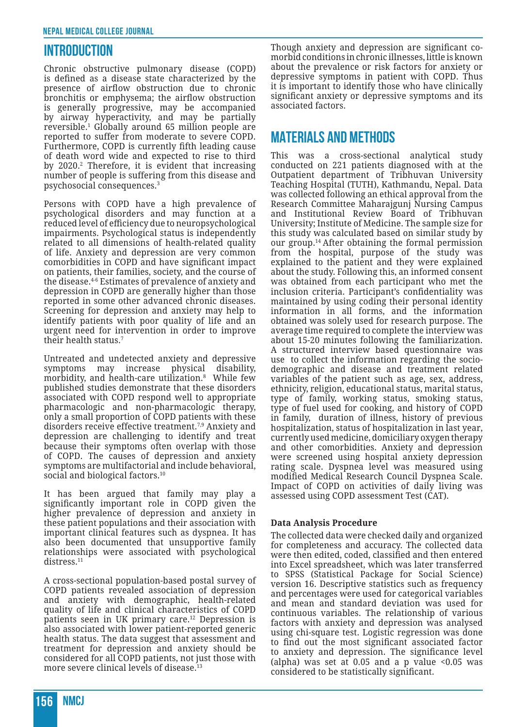#### **INTRODUCTION**

Chronic obstructive pulmonary disease (COPD) is defined as a disease state characterized by the presence of airflow obstruction due to chronic bronchitis or emphysema; the airflow obstruction is generally progressive, may be accompanied by airway hyperactivity, and may be partially reversible.<sup>1</sup> Globally around 65 million people are reported to suffer from moderate to severe COPD. Furthermore, COPD is currently fifth leading cause of death word wide and expected to rise to third by 2020.2 Therefore, it is evident that increasing number of people is suffering from this disease and psychosocial consequences.<sup>3</sup>

Persons with COPD have a high prevalence of psychological disorders and may function at a reduced level of efficiency due to neuropsychological impairments. Psychological status is independently related to all dimensions of health-related quality of life. Anxiety and depression are very common comorbidities in COPD and have significant impact on patients, their families, society, and the course of the disease.4-6 Estimates of prevalence of anxiety and depression in COPD are generally higher than those reported in some other advanced chronic diseases. Screening for depression and anxiety may help to identify patients with poor quality of life and an urgent need for intervention in order to improve their health status.<sup>7</sup>

Untreated and undetected anxiety and depressive symptoms may increase physical disability, morbidity, and health-care utilization.8 While few published studies demonstrate that these disorders associated with COPD respond well to appropriate pharmacologic and non-pharmacologic therapy, only a small proportion of COPD patients with these disorders receive effective treatment.7,9 Anxiety and depression are challenging to identify and treat because their symptoms often overlap with those of COPD. The causes of depression and anxiety symptoms are multifactorial and include behavioral, social and biological factors.<sup>10</sup>

It has been argued that family may play a significantly important role in COPD given the higher prevalence of depression and anxiety in these patient populations and their association with important clinical features such as dyspnea. It has also been documented that unsupportive family relationships were associated with psychological distress.<sup>11</sup>

A cross-sectional population-based postal survey of COPD patients revealed association of depression and anxiety with demographic, health-related quality of life and clinical characteristics of COPD patients seen in UK primary care.12 Depression is also associated with lower patient-reported generic health status. The data suggest that assessment and treatment for depression and anxiety should be considered for all COPD patients, not just those with more severe clinical levels of disease.<sup>13</sup>

Though anxiety and depression are significant comorbid conditions in chronic illnesses, little is known about the prevalence or risk factors for anxiety or depressive symptoms in patient with COPD. Thus it is important to identify those who have clinically significant anxiety or depressive symptoms and its associated factors.

#### **MATERIALS AND METHODS**

This was a cross-sectional analytical study conducted on 221 patients diagnosed with at the Outpatient department of Tribhuvan University Teaching Hospital (TUTH), Kathmandu, Nepal. Data was collected following an ethical approval from the Research Committee Maharajgunj Nursing Campus and Institutional Review Board of Tribhuvan University; Institute of Medicine. The sample size for this study was calculated based on similar study by our group.14 After obtaining the formal permission from the hospital, purpose of the study was explained to the patient and they were explained about the study. Following this, an informed consent was obtained from each participant who met the inclusion criteria. Participant's confidentiality was maintained by using coding their personal identity information in all forms, and the information obtained was solely used for research purpose. The average time required to complete the interview was about 15-20 minutes following the familiarization. A structured interview based questionnaire was use to collect the information regarding the sociodemographic and disease and treatment related variables of the patient such as age, sex, address, ethnicity, religion, educational status, marital status, type of family, working status, smoking status, type of fuel used for cooking, and history of COPD in family, duration of illness, history of previous hospitalization, status of hospitalization in last year, currently used medicine, domiciliary oxygen therapy and other comorbidities. Anxiety and depression were screened using hospital anxiety depression rating scale. Dyspnea level was measured using modified Medical Research Council Dyspnea Scale. Impact of COPD on activities of daily living was assessed using COPD assessment Test (CAT).

#### **Data Analysis Procedure**

The collected data were checked daily and organized for completeness and accuracy. The collected data were then edited, coded, classified and then entered into Excel spreadsheet, which was later transferred to SPSS (Statistical Package for Social Science) version 16. Descriptive statistics such as frequency and percentages were used for categorical variables and mean and standard deviation was used for continuous variables. The relationship of various factors with anxiety and depression was analysed using chi-square test. Logistic regression was done to find out the most significant associated factor to anxiety and depression. The significance level (alpha) was set at  $0.05$  and a p value <0.05 was considered to be statistically significant.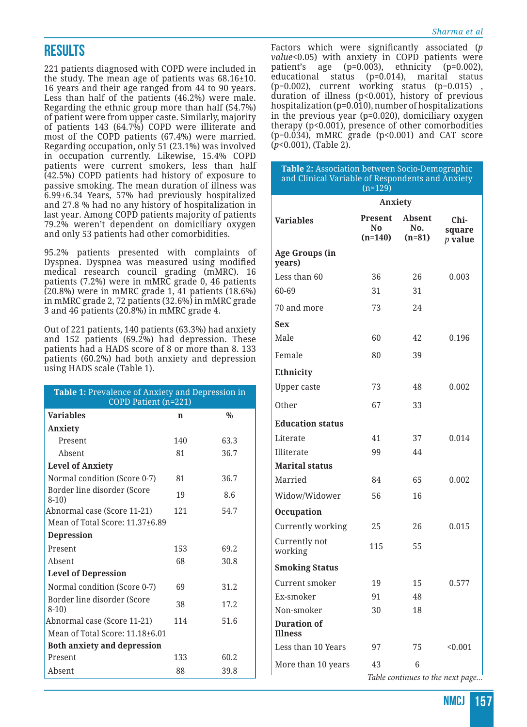## **RESULTS**

221 patients diagnosed with COPD were included in the study. The mean age of patients was 68.16±10. 16 years and their age ranged from 44 to 90 years. Less than half of the patients (46.2%) were male. Regarding the ethnic group more than half (54.7%) of patient were from upper caste. Similarly, majority of patients 143 (64.7%) COPD were illiterate and most of the COPD patients (67.4%) were married. Regarding occupation, only 51 (23.1%) was involved in occupation currently. Likewise, 15.4% COPD patients were current smokers, less than half (42.5%) COPD patients had history of exposure to passive smoking. The mean duration of illness was 6.99±6.34 Years, 57% had previously hospitalized and 27.8 % had no any history of hospitalization in last year. Among COPD patients majority of patients 79.2% weren't dependent on domiciliary oxygen and only 53 patients had other comorbidities.

95.2% patients presented with complaints of Dyspnea. Dyspnea was measured using modified medical research council grading (mMRC). 16 patients (7.2%) were in mMRC grade 0, 46 patients (20.8%) were in mMRC grade 1, 41 patients (18.6%) in mMRC grade 2, 72 patients (32.6%) in mMRC grade 3 and 46 patients (20.8%) in mMRC grade 4.

Out of 221 patients, 140 patients (63.3%) had anxiety and 152 patients (69.2%) had depression. These patients had a HADS score of 8 or more than 8. 133 patients (60.2%) had both anxiety and depression using HADS scale (Table 1).

| Table 1: Prevalence of Anxiety and Depression in<br>COPD Patient (n=221) |             |               |  |  |
|--------------------------------------------------------------------------|-------------|---------------|--|--|
| <b>Variables</b>                                                         | $\mathbf n$ | $\frac{0}{0}$ |  |  |
| Anxiety                                                                  |             |               |  |  |
| Present                                                                  | 140         | 63.3          |  |  |
| Absent                                                                   | 81          | 36.7          |  |  |
| <b>Level of Anxiety</b>                                                  |             |               |  |  |
| Normal condition (Score 0-7)                                             | 81          | 36.7          |  |  |
| Border line disorder (Score<br>$8-10$                                    | 19          | 8.6           |  |  |
| Abnormal case (Score 11-21)                                              | 121         | 54.7          |  |  |
| Mean of Total Score: 11.37±6.89                                          |             |               |  |  |
| <b>Depression</b>                                                        |             |               |  |  |
| Present                                                                  | 153         | 69.2          |  |  |
| Absent                                                                   | 68          | 30.8          |  |  |
| <b>Level of Depression</b>                                               |             |               |  |  |
| Normal condition (Score 0-7)                                             | 69          | 31.2          |  |  |
| Border line disorder (Score<br>$8-10$                                    | 38          | 17.2          |  |  |
| Abnormal case (Score 11-21)                                              | 114         | 51.6          |  |  |
| Mean of Total Score: 11.18+6.01                                          |             |               |  |  |
| <b>Both anxiety and depression</b>                                       |             |               |  |  |
| Present                                                                  | 133         | 60.2          |  |  |
| Absent                                                                   | 88          | 39.8          |  |  |

Factors which were significantly associated (*p value*<0.05) with anxiety in COPD patients were patient's age (p=0.003), ethnicity (p=0.002), educational status (p=0.014), marital status (p=0.002), current working status (p=0.015) , duration of illness (p<0.001), history of previous hospitalization (p=0.010), number of hospitalizations in the previous year (p=0.020), domiciliary oxygen therapy (p<0.001), presence of other comorbodities (p=0.034), mMRC grade (p<0.001) and CAT score (*p*<0.001), (Table 2).

| Table 2: Association between Socio-Demographic<br>and Clinical Variable of Respondents and Anxiety<br>$(n=129)$ |                             |                                  |                             |  |  |
|-----------------------------------------------------------------------------------------------------------------|-----------------------------|----------------------------------|-----------------------------|--|--|
|                                                                                                                 | Anxiety                     |                                  |                             |  |  |
| <b>Variables</b>                                                                                                | Present<br>No.<br>$(n=140)$ | <b>Absent</b><br>No.<br>$(n=81)$ | Chi-<br>square<br>$p$ value |  |  |
| Age Groups (in<br>years)                                                                                        |                             |                                  |                             |  |  |
| Less than 60                                                                                                    | 36                          | 26                               | 0.003                       |  |  |
| 60-69                                                                                                           | 31                          | 31                               |                             |  |  |
| 70 and more                                                                                                     | 73                          | 24                               |                             |  |  |
| Sex                                                                                                             |                             |                                  |                             |  |  |
| Male                                                                                                            | 60                          | 42                               | 0.196                       |  |  |
| Female                                                                                                          | 80                          | 39                               |                             |  |  |
| Ethnicity                                                                                                       |                             |                                  |                             |  |  |
| <b>Upper caste</b>                                                                                              | 73                          | 48                               | 0.002                       |  |  |
| Other                                                                                                           | 67                          | 33                               |                             |  |  |
| <b>Education status</b>                                                                                         |                             |                                  |                             |  |  |
| Literate                                                                                                        | 41                          | 37                               | 0.014                       |  |  |
| Illiterate                                                                                                      | 99                          | 44                               |                             |  |  |
| <b>Marital status</b>                                                                                           |                             |                                  |                             |  |  |
| Married                                                                                                         | 84                          | 65                               | 0.002                       |  |  |
| Widow/Widower                                                                                                   | 56                          | 16                               |                             |  |  |
| <b>Occupation</b>                                                                                               |                             |                                  |                             |  |  |
| Currently working                                                                                               | 25                          | 26                               | 0.015                       |  |  |
| Currently not<br>working                                                                                        | 115                         | 55                               |                             |  |  |
| <b>Smoking Status</b>                                                                                           |                             |                                  |                             |  |  |
| Current smoker                                                                                                  | 19                          | 15                               | 0.577                       |  |  |
| Ex-smoker                                                                                                       | 91                          | 48                               |                             |  |  |
| Non-smoker                                                                                                      | 30                          | 18                               |                             |  |  |
| <b>Duration of</b><br><b>Illness</b>                                                                            |                             |                                  |                             |  |  |
| Less than 10 Years                                                                                              | 97                          | 75                               | < 0.001                     |  |  |
| More than 10 years                                                                                              | 43                          | 6                                |                             |  |  |

*Table continues to the next page...*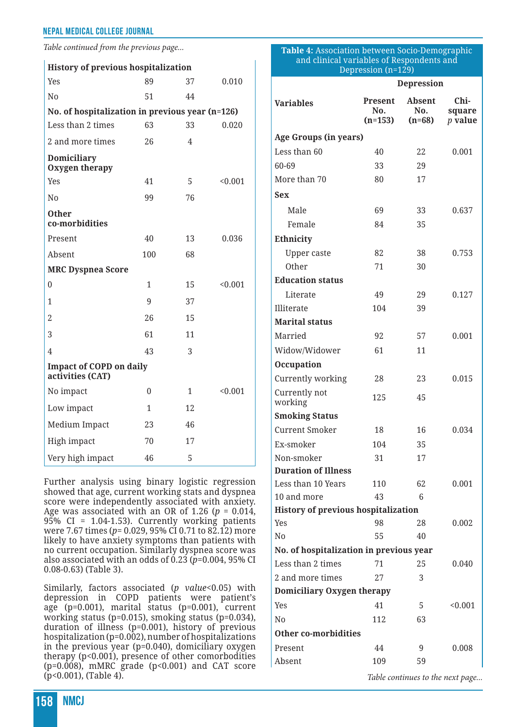*Table continued from the previous page...*

| <b>History of previous hospitalization</b>         |              |              |         |  |  |  |  |
|----------------------------------------------------|--------------|--------------|---------|--|--|--|--|
| Yes                                                | 89           | 37           | 0.010   |  |  |  |  |
| No                                                 | 51           | 44           |         |  |  |  |  |
| No. of hospitalization in previous year (n=126)    |              |              |         |  |  |  |  |
| Less than 2 times                                  | 63           | 33           | 0.020   |  |  |  |  |
| 2 and more times                                   | 26           | 4            |         |  |  |  |  |
| Domiciliary<br>Oxygen therapy                      |              |              |         |  |  |  |  |
| Yes                                                | 41           | 5            | < 0.001 |  |  |  |  |
| N <sub>0</sub>                                     | 99           | 76           |         |  |  |  |  |
| <b>Other</b><br>co-morbidities                     |              |              |         |  |  |  |  |
| Present                                            | 40           | 13           | 0.036   |  |  |  |  |
| Absent                                             | 100          | 68           |         |  |  |  |  |
| <b>MRC Dyspnea Score</b>                           |              |              |         |  |  |  |  |
| $\theta$                                           | $\mathbf{1}$ | 15           | < 0.001 |  |  |  |  |
| 1                                                  | 9            | 37           |         |  |  |  |  |
| 2                                                  | 26           | 15           |         |  |  |  |  |
| 3                                                  | 61           | 11           |         |  |  |  |  |
| $\overline{4}$                                     | 43           | 3            |         |  |  |  |  |
| <b>Impact of COPD on daily</b><br>activities (CAT) |              |              |         |  |  |  |  |
| No impact                                          | 0            | $\mathbf{1}$ | < 0.001 |  |  |  |  |
| Low impact                                         | 1            | 12           |         |  |  |  |  |
| Medium Impact                                      | 23           | 46           |         |  |  |  |  |
| High impact                                        | 70           | 17           |         |  |  |  |  |
| Very high impact                                   | 46           | 5            |         |  |  |  |  |

Further analysis using binary logistic regression showed that age, current working stats and dyspnea score were independently associated with anxiety. Age was associated with an OR of 1.26 ( $p = 0.014$ , 95% CI = 1.04-1.53). Currently working patients were 7.67 times (*p*= 0.029, 95% CI 0.71 to 82.12) more likely to have anxiety symptoms than patients with no current occupation. Similarly dyspnea score was also associated with an odds of 0.23 (*p*=0.004, 95% CI 0.08-0.63) (Table 3).

Similarly, factors associated (*p value*<0.05) with depression in COPD patients were patient's age (p=0.001), marital status (p=0.001), current working status (p=0.015), smoking status (p=0.034), duration of illness (p=0.001), history of previous hospitalization (p=0.002), number of hospitalizations in the previous year (p=0.040), domiciliary oxygen therapy (p<0.001), presence of other comorbodities (p=0.008), mMRC grade (p<0.001) and CAT score (p<0.001), (Table 4).

#### **Table 4:** Association between Socio-Demographic and clinical variables of Respondents and Depression (n=129)

|                                            | <b>Depression</b>           |                                  |                             |  |  |  |  |
|--------------------------------------------|-----------------------------|----------------------------------|-----------------------------|--|--|--|--|
| <b>Variables</b>                           | Present<br>No.<br>$(n=153)$ | <b>Absent</b><br>No.<br>$(n=68)$ | Chi-<br>square<br>$p$ value |  |  |  |  |
| Age Groups (in years)                      |                             |                                  |                             |  |  |  |  |
| Less than 60                               | 40                          | 22                               | 0.001                       |  |  |  |  |
| 60-69                                      | 33                          | 29                               |                             |  |  |  |  |
| More than 70                               | 80                          | 17                               |                             |  |  |  |  |
| Sex                                        |                             |                                  |                             |  |  |  |  |
| Male                                       | 69                          | 33                               | 0.637                       |  |  |  |  |
| Female                                     | 84                          | 35                               |                             |  |  |  |  |
| Ethnicity                                  |                             |                                  |                             |  |  |  |  |
| <b>Upper caste</b>                         | 82                          | 38                               | 0.753                       |  |  |  |  |
| Other                                      | 71                          | 30                               |                             |  |  |  |  |
| <b>Education status</b>                    |                             |                                  |                             |  |  |  |  |
| Literate                                   | 49                          | 29                               | 0.127                       |  |  |  |  |
| Illiterate                                 | 104                         | 39                               |                             |  |  |  |  |
| <b>Marital status</b>                      |                             |                                  |                             |  |  |  |  |
| Married                                    | 92                          | 57                               | 0.001                       |  |  |  |  |
| Widow/Widower                              | 61                          | 11                               |                             |  |  |  |  |
| Occupation                                 |                             |                                  |                             |  |  |  |  |
| Currently working                          | 28                          | 23                               | 0.015                       |  |  |  |  |
| Currently not<br>working                   | 125                         | 45                               |                             |  |  |  |  |
| <b>Smoking Status</b>                      |                             |                                  |                             |  |  |  |  |
| <b>Current Smoker</b>                      | 18                          | 16                               | 0.034                       |  |  |  |  |
| Ex-smoker                                  | 104                         | 35                               |                             |  |  |  |  |
| Non-smoker                                 | 31                          | 17                               |                             |  |  |  |  |
| <b>Duration of Illness</b>                 |                             |                                  |                             |  |  |  |  |
| Less than 10 Years                         | 110                         | 62                               | 0.001                       |  |  |  |  |
| 10 and more                                | 43                          | 6                                |                             |  |  |  |  |
| <b>History of previous hospitalization</b> |                             |                                  |                             |  |  |  |  |
| Yes                                        | 98                          | 28                               | 0.002                       |  |  |  |  |
| N <sub>0</sub>                             | 55                          | 40                               |                             |  |  |  |  |
| No. of hospitalization in previous year    |                             |                                  |                             |  |  |  |  |
| Less than 2 times                          | 71                          | 25                               | 0.040                       |  |  |  |  |
| 2 and more times                           | 27                          | 3                                |                             |  |  |  |  |
| Domiciliary Oxygen therapy                 |                             |                                  |                             |  |  |  |  |
| Yes                                        | 41                          | 5                                | < 0.001                     |  |  |  |  |
| N <sub>0</sub>                             | 112                         | 63                               |                             |  |  |  |  |
| <b>Other co-morbidities</b>                |                             |                                  |                             |  |  |  |  |
| Present                                    | 44                          | 9                                | 0.008                       |  |  |  |  |
| Absent                                     | 109                         | 59                               |                             |  |  |  |  |

*Table continues to the next page...*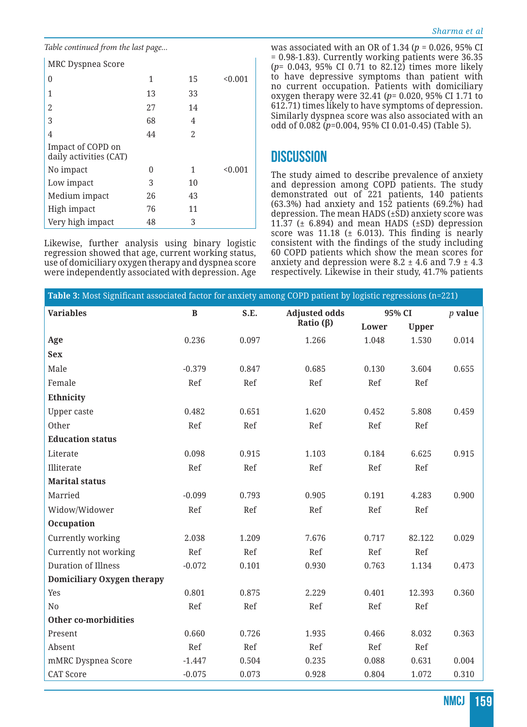*Table continued from the last page...*

| MRC Dyspnea Score                           |    |    |         |
|---------------------------------------------|----|----|---------|
| 0                                           | 1  | 15 | < 0.001 |
| 1                                           | 13 | 33 |         |
| 2                                           | 27 | 14 |         |
| 3                                           | 68 | 4  |         |
| 4                                           | 44 | 2  |         |
| Impact of COPD on<br>daily activities (CAT) |    |    |         |
| No impact                                   | O  | 1  | < 0.001 |
| Low impact                                  | 3  | 10 |         |
| Medium impact                               | 26 | 43 |         |
| High impact                                 | 76 | 11 |         |
| Very high impact                            | 48 | 3  |         |

Likewise, further analysis using binary logistic regression showed that age, current working status, use of domiciliary oxygen therapy and dyspnea score were independently associated with depression. Age was associated with an OR of 1.34 (*p* = 0.026, 95% CI = 0.98-1.83). Currently working patients were 36.35 (*p*= 0.043, 95% CI 0.71 to 82.12) times more likely to have depressive symptoms than patient with no current occupation. Patients with domiciliary oxygen therapy were 32.41 (*p*= 0.020, 95% CI 1.71 to 612.71) times likely to have symptoms of depression. Similarly dyspnea score was also associated with an odd of 0.082 (*p*=0.004, 95% CI 0.01-0.45) (Table 5).

### **DISCUSSION**

The study aimed to describe prevalence of anxiety and depression among COPD patients. The study demonstrated out of 221 patients, 140 patients (63.3%) had anxiety and  $15\overline{2}$  patients (69.2%) had depression. The mean HADS  $(\pm \hat{S}D)$  anxiety score was 11.37 ( $\pm$  6.894) and mean HADS ( $\pm$ SD) depression score was  $11.18$  ( $\pm$  6.013). This finding is nearly consistent with the findings of the study including 60 COPD patients which show the mean scores for anxiety and depression were 8.2  $\pm$  4.6 and 7.9  $\pm$  4.3 respectively. Likewise in their study, 41.7% patients

| Table 3: Most Significant associated factor for anxiety among COPD patient by logistic regressions (n=221) |              |       |                      |        |              |           |
|------------------------------------------------------------------------------------------------------------|--------------|-------|----------------------|--------|--------------|-----------|
| <b>Variables</b>                                                                                           | $\, {\bf B}$ | S.E.  | <b>Adjusted odds</b> | 95% CI |              | $p$ value |
|                                                                                                            |              |       | Ratio $(\beta)$      | Lower  | <b>Upper</b> |           |
| Age                                                                                                        | 0.236        | 0.097 | 1.266                | 1.048  | 1.530        | 0.014     |
| <b>Sex</b>                                                                                                 |              |       |                      |        |              |           |
| Male                                                                                                       | $-0.379$     | 0.847 | 0.685                | 0.130  | 3.604        | 0.655     |
| Female                                                                                                     | Ref          | Ref   | Ref                  | Ref    | Ref          |           |
| Ethnicity                                                                                                  |              |       |                      |        |              |           |
| Upper caste                                                                                                | 0.482        | 0.651 | 1.620                | 0.452  | 5.808        | 0.459     |
| Other                                                                                                      | Ref          | Ref   | Ref                  | Ref    | Ref          |           |
| <b>Education status</b>                                                                                    |              |       |                      |        |              |           |
| Literate                                                                                                   | 0.098        | 0.915 | 1.103                | 0.184  | 6.625        | 0.915     |
| Illiterate                                                                                                 | Ref          | Ref   | Ref                  | Ref    | Ref          |           |
| <b>Marital status</b>                                                                                      |              |       |                      |        |              |           |
| Married                                                                                                    | $-0.099$     | 0.793 | 0.905                | 0.191  | 4.283        | 0.900     |
| Widow/Widower                                                                                              | Ref          | Ref   | Ref                  | Ref    | Ref          |           |
| Occupation                                                                                                 |              |       |                      |        |              |           |
| Currently working                                                                                          | 2.038        | 1.209 | 7.676                | 0.717  | 82.122       | 0.029     |
| Currently not working                                                                                      | Ref          | Ref   | Ref                  | Ref    | Ref          |           |
| Duration of Illness                                                                                        | $-0.072$     | 0.101 | 0.930                | 0.763  | 1.134        | 0.473     |
| Domiciliary Oxygen therapy                                                                                 |              |       |                      |        |              |           |
| Yes                                                                                                        | 0.801        | 0.875 | 2.229                | 0.401  | 12.393       | 0.360     |
| No                                                                                                         | Ref          | Ref   | Ref                  | Ref    | Ref          |           |
| Other co-morbidities                                                                                       |              |       |                      |        |              |           |
| Present                                                                                                    | 0.660        | 0.726 | 1.935                | 0.466  | 8.032        | 0.363     |
| Absent                                                                                                     | Ref          | Ref   | Ref                  | Ref    | Ref          |           |
| mMRC Dyspnea Score                                                                                         | $-1.447$     | 0.504 | 0.235                | 0.088  | 0.631        | 0.004     |
| <b>CAT Score</b>                                                                                           | $-0.075$     | 0.073 | 0.928                | 0.804  | 1.072        | 0.310     |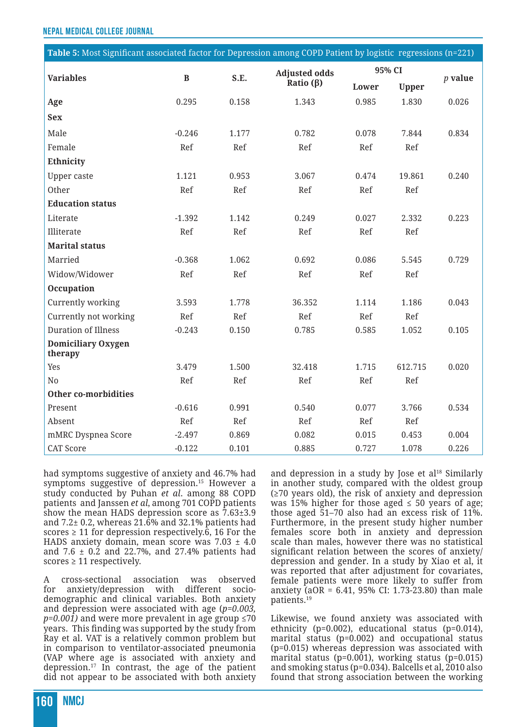| Table 5: Most Significant associated factor for Depression among COPD Patient by logistic regressions (n=221) |          |       |                                         |        |              |           |
|---------------------------------------------------------------------------------------------------------------|----------|-------|-----------------------------------------|--------|--------------|-----------|
| <b>Variables</b>                                                                                              | $\bf{B}$ | S.E.  | <b>Adjusted odds</b><br>Ratio $(\beta)$ | 95% CI |              |           |
|                                                                                                               |          |       |                                         | Lower  | <b>Upper</b> | $p$ value |
| Age                                                                                                           | 0.295    | 0.158 | 1.343                                   | 0.985  | 1.830        | 0.026     |
| <b>Sex</b>                                                                                                    |          |       |                                         |        |              |           |
| Male                                                                                                          | $-0.246$ | 1.177 | 0.782                                   | 0.078  | 7.844        | 0.834     |
| Female                                                                                                        | Ref      | Ref   | Ref                                     | Ref    | Ref          |           |
| Ethnicity                                                                                                     |          |       |                                         |        |              |           |
| <b>Upper caste</b>                                                                                            | 1.121    | 0.953 | 3.067                                   | 0.474  | 19.861       | 0.240     |
| Other                                                                                                         | Ref      | Ref   | Ref                                     | Ref    | Ref          |           |
| <b>Education status</b>                                                                                       |          |       |                                         |        |              |           |
| Literate                                                                                                      | $-1.392$ | 1.142 | 0.249                                   | 0.027  | 2.332        | 0.223     |
| Illiterate                                                                                                    | Ref      | Ref   | Ref                                     | Ref    | Ref          |           |
| <b>Marital status</b>                                                                                         |          |       |                                         |        |              |           |
| Married                                                                                                       | $-0.368$ | 1.062 | 0.692                                   | 0.086  | 5.545        | 0.729     |
| Widow/Widower                                                                                                 | Ref      | Ref   | Ref                                     | Ref    | Ref          |           |
| Occupation                                                                                                    |          |       |                                         |        |              |           |
| Currently working                                                                                             | 3.593    | 1.778 | 36.352                                  | 1.114  | 1.186        | 0.043     |
| Currently not working                                                                                         | Ref      | Ref   | Ref                                     | Ref    | Ref          |           |
| <b>Duration of Illness</b>                                                                                    | $-0.243$ | 0.150 | 0.785                                   | 0.585  | 1.052        | 0.105     |
| <b>Domiciliary Oxygen</b><br>therapy                                                                          |          |       |                                         |        |              |           |
| Yes                                                                                                           | 3.479    | 1.500 | 32.418                                  | 1.715  | 612.715      | 0.020     |
| N <sub>0</sub>                                                                                                | Ref      | Ref   | Ref                                     | Ref    | Ref          |           |
| <b>Other co-morbidities</b>                                                                                   |          |       |                                         |        |              |           |
| Present                                                                                                       | $-0.616$ | 0.991 | 0.540                                   | 0.077  | 3.766        | 0.534     |
| Absent                                                                                                        | Ref      | Ref   | Ref                                     | Ref    | Ref          |           |
| mMRC Dyspnea Score                                                                                            | $-2.497$ | 0.869 | 0.082                                   | 0.015  | 0.453        | 0.004     |
| <b>CAT Score</b>                                                                                              | $-0.122$ | 0.101 | 0.885                                   | 0.727  | 1.078        | 0.226     |

had symptoms suggestive of anxiety and 46.7% had symptoms suggestive of depression.<sup>15</sup> However a study conducted by Puhan *et al*. among 88 COPD patients and Janssen *et al*, among 701 COPD patients show the mean HADS depression score as 7.63±3.9 and 7.2± 0.2, whereas 21.6% and 32.1% patients had scores  $\geq$  11 for depression respectively.6, 16 For the HADS anxiety domain, mean score was  $7.03 \pm 4.0$ and 7.6 ± 0.2 and 22.7%, and 27.4% patients had scores  $\geq$  11 respectively.

A cross-sectional association was observed for anxiety/depression with different sociodemographic and clinical variables. Both anxiety and depression were associated with age (*p=0.003,*   $p=0.001$ ) and were more prevalent in age group  $\leq 70$ years. This finding was supported by the study from Ray et al. VAT is a relatively common problem but in comparison to ventilator-associated pneumonia (VAP where age is associated with anxiety and depression.17 In contrast, the age of the patient did not appear to be associated with both anxiety and depression in a study by Jose et al $^{18}$  Similarly in another study, compared with the oldest group (≥70 years old), the risk of anxiety and depression was 15% higher for those aged  $\leq$  50 years of age; those aged 51–70 also had an excess risk of 11%. Furthermore, in the present study higher number females score both in anxiety and depression scale than males, however there was no statistical significant relation between the scores of anxiety/ depression and gender. In a study by Xiao et al, it was reported that after adjustment for covariates, female patients were more likely to suffer from anxiety (aOR = 6.41, 95% CI: 1.73-23.80) than male patients.19

Likewise, we found anxiety was associated with ethnicity (p=0.002), educational status (p=0.014), marital status (p=0.002) and occupational status (p=0.015) whereas depression was associated with marital status (p=0.001), working status (p=0.015) and smoking status (p=0.034). Balcells et al, 2010 also found that strong association between the working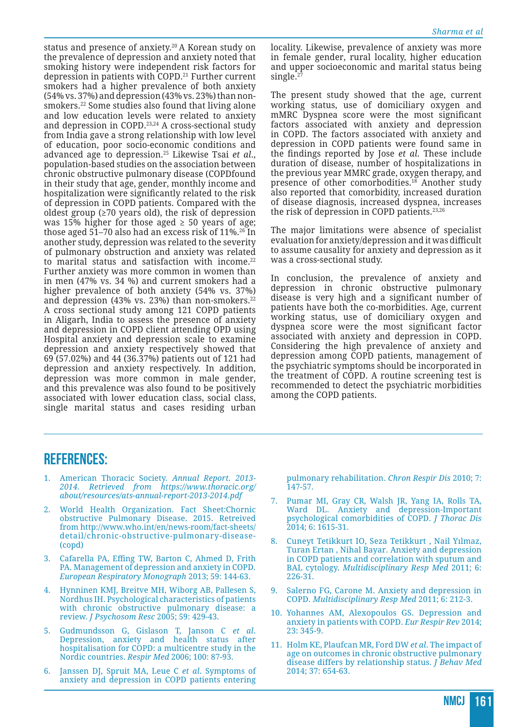status and presence of anxiety.<sup>20</sup> A Korean study on the prevalence of depression and anxiety noted that smoking history were independent risk factors for depression in patients with COPD.<sup>21</sup> Further current smokers had a higher prevalence of both anxiety (54% vs. 37%) and depression (43% vs. 23%) than nonsmokers.22 Some studies also found that living alone and low education levels were related to anxiety and depression in COPD.23,24 A cross-sectional study from India gave a strong relationship with low level of education, poor socio-economic conditions and advanced age to depression.25 Likewise Tsai *et al*., population-based studies on the association between chronic obstructive pulmonary disease (COPDfound in their study that age, gender, monthly income and hospitalization were significantly related to the risk of depression in COPD patients. Compared with the oldest group ( $\geq 70$  years old), the risk of depression was 15% higher for those aged  $\geq$  50 years of age; those aged 51–70 also had an excess risk of 11%.<sup>26</sup> In another study, depression was related to the severity of pulmonary obstruction and anxiety was related to marital status and satisfaction with income.<sup>22</sup> Further anxiety was more common in women than in men (47% vs. 34 %) and current smokers had a higher prevalence of both anxiety (54% vs. 37%) and depression (43% vs. 23%) than non-smokers. $22$ A cross sectional study among 121 COPD patients in Aligarh, India to assess the presence of anxiety and depression in COPD client attending OPD using Hospital anxiety and depression scale to examine depression and anxiety respectively showed that 69 (57.02%) and 44 (36.37%) patients out of 121 had depression and anxiety respectively. In addition, depression was more common in male gender, and this prevalence was also found to be positively associated with lower education class, social class, single marital status and cases residing urban locality. Likewise, prevalence of anxiety was more in female gender, rural locality, higher education and upper socioeconomic and marital status being single.<sup>2</sup>

The present study showed that the age, current working status, use of domiciliary oxygen and mMRC Dyspnea score were the most significant factors associated with anxiety and depression in COPD. The factors associated with anxiety and depression in COPD patients were found same in the findings reported by Jose *et al*. These include duration of disease, number of hospitalizations in the previous year MMRC grade, oxygen therapy, and presence of other comorbodities.<sup>18</sup> Another study also reported that comorbidity, increased duration of disease diagnosis, increased dyspnea, increases the risk of depression in COPD patients.23,26

The major limitations were absence of specialist evaluation for anxiety/depression and it was difficult to assume causality for anxiety and depression as it was a cross-sectional study.

In conclusion, the prevalence of anxiety and depression in chronic obstructive pulmonary disease is very high and a significant number of patients have both the co-morbidities. Age, current working status, use of domiciliary oxygen and dyspnea score were the most significant factor associated with anxiety and depression in COPD. Considering the high prevalence of anxiety and depression among COPD patients, management of the psychiatric symptoms should be incorporated in the treatment of COPD. A routine screening test is recommended to detect the psychiatric morbidities among the COPD patients.

#### **REFERENCES:**

- 1. American Thoracic Society. *Annual Report. 2013- 2014. Retrieved from https://www.thoracic.org/ about/resources/ats-annual-report-2013-2014.pdf*
- 2. World Health Organization. Fact Sheet:Chornic obstructive Pulmonary Disease. 2015. Retreived from http://www.who.int/en/news-room/fact-sheets/ detail/chronic-obstructive-pulmonary-disease- (copd)
- 3. Cafarella PA, Effing TW, Barton C, Ahmed D, Frith PA. Management of depression and anxiety in COPD. *European Respiratory Monograph* 2013; 59: 144-63.
- 4. Hynninen KMJ, Breitve MH, Wiborg AB, Pallesen S, Nordhus IH. Psychological characteristics of patients with chronic obstructive pulmonary disease: a review. *J Psychosom Resc* 2005; 59: 429-43.
- 5. Gudmundsson G, Gislason T, Janson C *et al*. Depression, anxiety and health status after hospitalisation for COPD: a multicentre study in the Nordic countries. *Respir Med* 2006; 100: 87-93.
- 6. Janssen DJ, Spruit MA, Leue C *et al*. Symptoms of anxiety and depression in COPD patients entering

pulmonary rehabilitation. *Chron Respir Dis* 2010; 7: 147-57.

- 7. Pumar MI, Gray CR, Walsh JR, Yang IA, Rolls TA, Ward DL. Anxiety and depression-Important psychological comorbidities of COPD. *J Thorac Dis* 2014; 6: 1615-31.
- 8. Cuneyt Tetikkurt IO, Seza Tetikkurt , Nail Yılmaz, Turan Ertan , Nihal Bayar. Anxiety and depression in COPD patients and correlation with sputum and BAL cytology. *Multidisciplinary Resp Med* 2011; 6: 226-31.
- 9. Salerno FG, Carone M. Anxiety and depression in COPD. *Multidisciplinary Resp Med* 2011; 6: 212-3.
- 10. Yohannes AM, Alexopoulos GS. Depression and anxiety in patients with COPD. *Eur Respir Rev* 2014; 23: 345-9.
- 11. Holm KE, Plaufcan MR, Ford DW *et al*. The impact of age on outcomes in chronic obstructive pulmonary disease differs by relationship status. *J Behav Med* 2014; 37: 654-63.